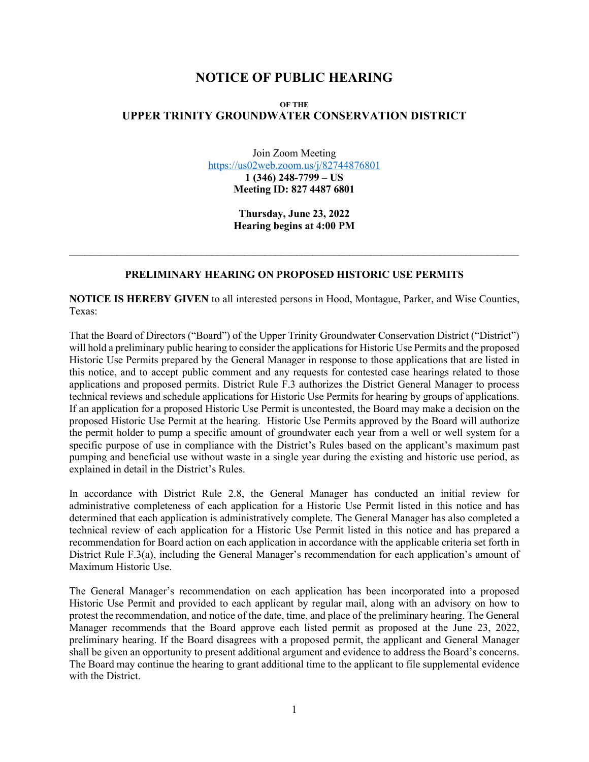## **NOTICE OF PUBLIC HEARING**

## **OF THE UPPER TRINITY GROUNDWATER CONSERVATION DISTRICT**

Join Zoom Meeting <https://us02web.zoom.us/j/82744876801> **1 (346) 248-7799 – US Meeting ID: 827 4487 6801**

> **Thursday, June 23, 2022 Hearing begins at 4:00 PM**

## **PRELIMINARY HEARING ON PROPOSED HISTORIC USE PERMITS**

 $\mathcal{L}_\text{max}$  and  $\mathcal{L}_\text{max}$  and  $\mathcal{L}_\text{max}$  and  $\mathcal{L}_\text{max}$  and  $\mathcal{L}_\text{max}$  and  $\mathcal{L}_\text{max}$ 

**NOTICE IS HEREBY GIVEN** to all interested persons in Hood, Montague, Parker, and Wise Counties, Texas:

That the Board of Directors ("Board") of the Upper Trinity Groundwater Conservation District ("District") will hold a preliminary public hearing to consider the applications for Historic Use Permits and the proposed Historic Use Permits prepared by the General Manager in response to those applications that are listed in this notice, and to accept public comment and any requests for contested case hearings related to those applications and proposed permits. District Rule F.3 authorizes the District General Manager to process technical reviews and schedule applications for Historic Use Permits for hearing by groups of applications. If an application for a proposed Historic Use Permit is uncontested, the Board may make a decision on the proposed Historic Use Permit at the hearing. Historic Use Permits approved by the Board will authorize the permit holder to pump a specific amount of groundwater each year from a well or well system for a specific purpose of use in compliance with the District's Rules based on the applicant's maximum past pumping and beneficial use without waste in a single year during the existing and historic use period, as explained in detail in the District's Rules.

In accordance with District Rule 2.8, the General Manager has conducted an initial review for administrative completeness of each application for a Historic Use Permit listed in this notice and has determined that each application is administratively complete. The General Manager has also completed a technical review of each application for a Historic Use Permit listed in this notice and has prepared a recommendation for Board action on each application in accordance with the applicable criteria set forth in District Rule F.3(a), including the General Manager's recommendation for each application's amount of Maximum Historic Use.

The General Manager's recommendation on each application has been incorporated into a proposed Historic Use Permit and provided to each applicant by regular mail, along with an advisory on how to protest the recommendation, and notice of the date, time, and place of the preliminary hearing. The General Manager recommends that the Board approve each listed permit as proposed at the June 23, 2022, preliminary hearing. If the Board disagrees with a proposed permit, the applicant and General Manager shall be given an opportunity to present additional argument and evidence to address the Board's concerns. The Board may continue the hearing to grant additional time to the applicant to file supplemental evidence with the District.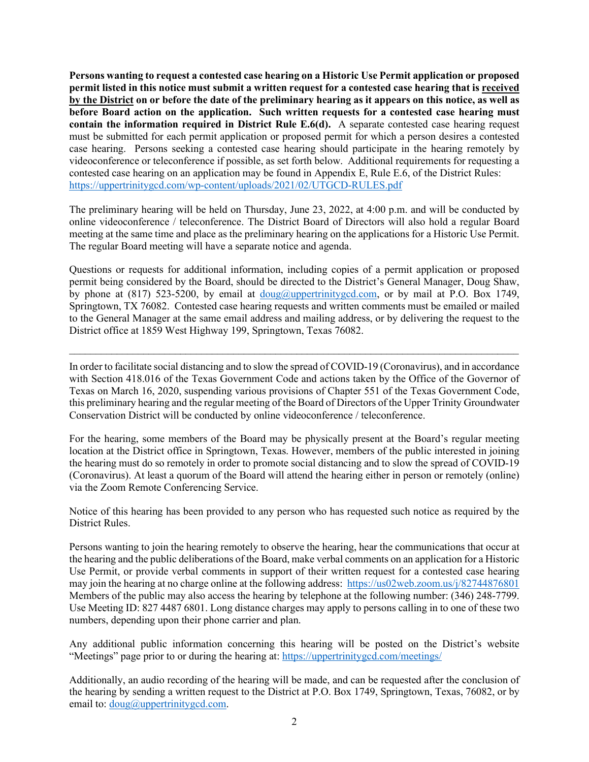**Persons wanting to request a contested case hearing on a Historic Use Permit application or proposed permit listed in this notice must submit a written request for a contested case hearing that is received by the District on or before the date of the preliminary hearing as it appears on this notice, as well as before Board action on the application. Such written requests for a contested case hearing must contain the information required in District Rule E.6(d).** A separate contested case hearing request must be submitted for each permit application or proposed permit for which a person desires a contested case hearing. Persons seeking a contested case hearing should participate in the hearing remotely by videoconference or teleconference if possible, as set forth below. Additional requirements for requesting a contested case hearing on an application may be found in Appendix E, Rule E.6, of the District Rules: <https://uppertrinitygcd.com/wp-content/uploads/2021/02/UTGCD-RULES.pdf>

The preliminary hearing will be held on Thursday, June 23, 2022, at 4:00 p.m. and will be conducted by online videoconference / teleconference. The District Board of Directors will also hold a regular Board meeting at the same time and place as the preliminary hearing on the applications for a Historic Use Permit. The regular Board meeting will have a separate notice and agenda.

Questions or requests for additional information, including copies of a permit application or proposed permit being considered by the Board, should be directed to the District's General Manager, Doug Shaw, by phone at (817) 523-5200, by email at [doug@uppertrinitygcd.com,](mailto:doug@uppertrinitygcd.com) or by mail at P.O. Box 1749, Springtown, TX 76082. Contested case hearing requests and written comments must be emailed or mailed to the General Manager at the same email address and mailing address, or by delivering the request to the District office at 1859 West Highway 199, Springtown, Texas 76082.

In order to facilitate social distancing and to slow the spread of COVID-19 (Coronavirus), and in accordance with Section 418.016 of the Texas Government Code and actions taken by the Office of the Governor of Texas on March 16, 2020, suspending various provisions of Chapter 551 of the Texas Government Code, this preliminary hearing and the regular meeting of the Board of Directors of the Upper Trinity Groundwater Conservation District will be conducted by online videoconference / teleconference.

 $\_$  , and the set of the set of the set of the set of the set of the set of the set of the set of the set of the set of the set of the set of the set of the set of the set of the set of the set of the set of the set of th

For the hearing, some members of the Board may be physically present at the Board's regular meeting location at the District office in Springtown, Texas. However, members of the public interested in joining the hearing must do so remotely in order to promote social distancing and to slow the spread of COVID-19 (Coronavirus). At least a quorum of the Board will attend the hearing either in person or remotely (online) via the Zoom Remote Conferencing Service.

Notice of this hearing has been provided to any person who has requested such notice as required by the District Rules.

Persons wanting to join the hearing remotely to observe the hearing, hear the communications that occur at the hearing and the public deliberations of the Board, make verbal comments on an application for a Historic Use Permit, or provide verbal comments in support of their written request for a contested case hearing may join the hearing at no charge online at the following address:<https://us02web.zoom.us/j/82744876801> Members of the public may also access the hearing by telephone at the following number: (346) 248-7799. Use Meeting ID: 827 4487 6801. Long distance charges may apply to persons calling in to one of these two numbers, depending upon their phone carrier and plan.

Any additional public information concerning this hearing will be posted on the District's website "Meetings" page prior to or during the hearing at: <https://uppertrinitygcd.com/meetings/>

Additionally, an audio recording of the hearing will be made, and can be requested after the conclusion of the hearing by sending a written request to the District at P.O. Box 1749, Springtown, Texas, 76082, or by email to:  $doug@uppertrinitygcd.com$ .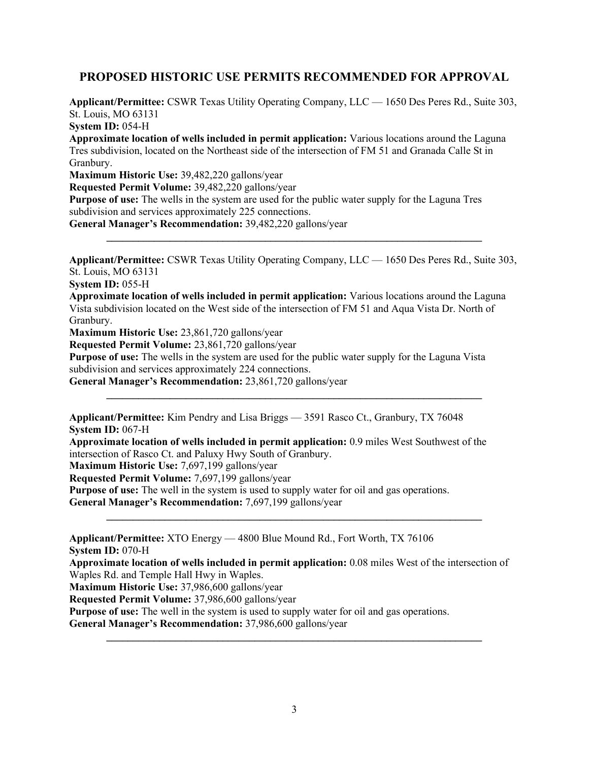## **PROPOSED HISTORIC USE PERMITS RECOMMENDED FOR APPROVAL**

**Applicant/Permittee:** CSWR Texas Utility Operating Company, LLC — 1650 Des Peres Rd., Suite 303, St. Louis, MO 63131 **System ID:** 054-H

**Approximate location of wells included in permit application:** Various locations around the Laguna Tres subdivision, located on the Northeast side of the intersection of FM 51 and Granada Calle St in Granbury.

**Maximum Historic Use:** 39,482,220 gallons/year

**Requested Permit Volume:** 39,482,220 gallons/year

**Purpose of use:** The wells in the system are used for the public water supply for the Laguna Tres subdivision and services approximately 225 connections.

**General Manager's Recommendation:** 39,482,220 gallons/year

**Applicant/Permittee:** CSWR Texas Utility Operating Company, LLC — 1650 Des Peres Rd., Suite 303, St. Louis, MO 63131

**\_\_\_\_\_\_\_\_\_\_\_\_\_\_\_\_\_\_\_\_\_\_\_\_\_\_\_\_\_\_\_\_\_\_\_\_\_\_\_\_\_\_\_\_\_\_\_\_\_\_\_\_\_\_\_\_\_\_\_\_\_\_\_\_\_\_\_\_\_\_\_**

**System ID:** 055-H

**Approximate location of wells included in permit application:** Various locations around the Laguna Vista subdivision located on the West side of the intersection of FM 51 and Aqua Vista Dr. North of Granbury.

**Maximum Historic Use:** 23,861,720 gallons/year

**Requested Permit Volume:** 23,861,720 gallons/year

**Purpose of use:** The wells in the system are used for the public water supply for the Laguna Vista subdivision and services approximately 224 connections.

**\_\_\_\_\_\_\_\_\_\_\_\_\_\_\_\_\_\_\_\_\_\_\_\_\_\_\_\_\_\_\_\_\_\_\_\_\_\_\_\_\_\_\_\_\_\_\_\_\_\_\_\_\_\_\_\_\_\_\_\_\_\_\_\_\_\_\_\_\_\_\_**

**General Manager's Recommendation:** 23,861,720 gallons/year

**Applicant/Permittee:** Kim Pendry and Lisa Briggs — 3591 Rasco Ct., Granbury, TX 76048 **System ID:** 067-H

**Approximate location of wells included in permit application:** 0.9 miles West Southwest of the intersection of Rasco Ct. and Paluxy Hwy South of Granbury.

**Maximum Historic Use:** 7,697,199 gallons/year

**Requested Permit Volume:** 7,697,199 gallons/year

**Purpose of use:** The well in the system is used to supply water for oil and gas operations.

**General Manager's Recommendation:** 7,697,199 gallons/year

**Applicant/Permittee:** XTO Energy — 4800 Blue Mound Rd., Fort Worth, TX 76106 **System ID:** 070-H

**Approximate location of wells included in permit application:** 0.08 miles West of the intersection of Waples Rd. and Temple Hall Hwy in Waples.

**\_\_\_\_\_\_\_\_\_\_\_\_\_\_\_\_\_\_\_\_\_\_\_\_\_\_\_\_\_\_\_\_\_\_\_\_\_\_\_\_\_\_\_\_\_\_\_\_\_\_\_\_\_\_\_\_\_\_\_\_\_\_\_\_\_\_\_\_\_\_\_**

**Maximum Historic Use:** 37,986,600 gallons/year

**Requested Permit Volume:** 37,986,600 gallons/year

**Purpose of use:** The well in the system is used to supply water for oil and gas operations.

**General Manager's Recommendation:** 37,986,600 gallons/year

**\_\_\_\_\_\_\_\_\_\_\_\_\_\_\_\_\_\_\_\_\_\_\_\_\_\_\_\_\_\_\_\_\_\_\_\_\_\_\_\_\_\_\_\_\_\_\_\_\_\_\_\_\_\_\_\_\_\_\_\_\_\_\_\_\_\_\_\_\_\_\_**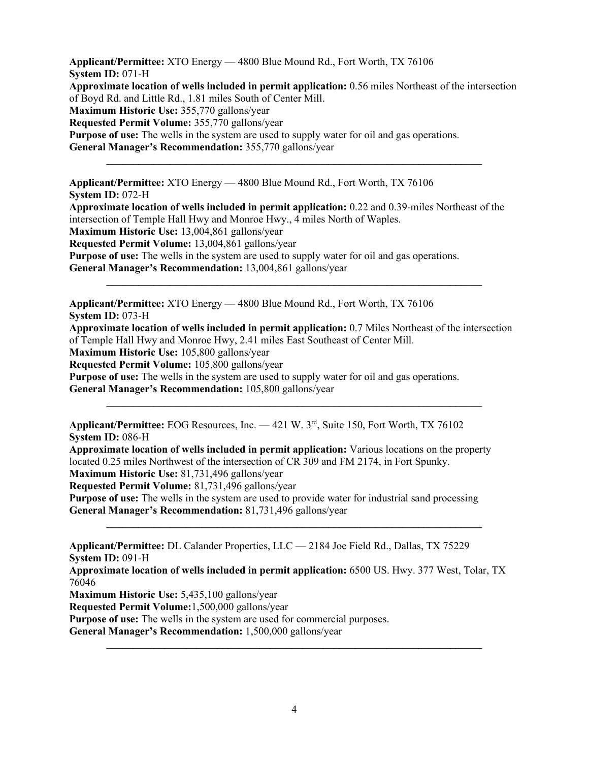**Applicant/Permittee:** XTO Energy — 4800 Blue Mound Rd., Fort Worth, TX 76106 **System ID:** 071-H **Approximate location of wells included in permit application:** 0.56 miles Northeast of the intersection of Boyd Rd. and Little Rd., 1.81 miles South of Center Mill. **Maximum Historic Use:** 355,770 gallons/year **Requested Permit Volume:** 355,770 gallons/year **Purpose of use:** The wells in the system are used to supply water for oil and gas operations. **General Manager's Recommendation:** 355,770 gallons/year

**\_\_\_\_\_\_\_\_\_\_\_\_\_\_\_\_\_\_\_\_\_\_\_\_\_\_\_\_\_\_\_\_\_\_\_\_\_\_\_\_\_\_\_\_\_\_\_\_\_\_\_\_\_\_\_\_\_\_\_\_\_\_\_\_\_\_\_\_\_\_\_**

**Applicant/Permittee:** XTO Energy — 4800 Blue Mound Rd., Fort Worth, TX 76106 **System ID:** 072-H **Approximate location of wells included in permit application:** 0.22 and 0.39-miles Northeast of the intersection of Temple Hall Hwy and Monroe Hwy., 4 miles North of Waples. **Maximum Historic Use:** 13,004,861 gallons/year **Requested Permit Volume:** 13,004,861 gallons/year **Purpose of use:** The wells in the system are used to supply water for oil and gas operations. **General Manager's Recommendation:** 13,004,861 gallons/year

**Applicant/Permittee:** XTO Energy — 4800 Blue Mound Rd., Fort Worth, TX 76106 **System ID:** 073-H

**Approximate location of wells included in permit application:** 0.7 Miles Northeast of the intersection of Temple Hall Hwy and Monroe Hwy, 2.41 miles East Southeast of Center Mill.

**\_\_\_\_\_\_\_\_\_\_\_\_\_\_\_\_\_\_\_\_\_\_\_\_\_\_\_\_\_\_\_\_\_\_\_\_\_\_\_\_\_\_\_\_\_\_\_\_\_\_\_\_\_\_\_\_\_\_\_\_\_\_\_\_\_\_\_\_\_\_\_**

**\_\_\_\_\_\_\_\_\_\_\_\_\_\_\_\_\_\_\_\_\_\_\_\_\_\_\_\_\_\_\_\_\_\_\_\_\_\_\_\_\_\_\_\_\_\_\_\_\_\_\_\_\_\_\_\_\_\_\_\_\_\_\_\_\_\_\_\_\_\_\_**

**Maximum Historic Use:** 105,800 gallons/year

**Requested Permit Volume:** 105,800 gallons/year

**Purpose of use:** The wells in the system are used to supply water for oil and gas operations.

**General Manager's Recommendation:** 105,800 gallons/year

**Applicant/Permittee:** EOG Resources, Inc. — 421 W. 3rd, Suite 150, Fort Worth, TX 76102 **System ID: 086-H** 

**Approximate location of wells included in permit application:** Various locations on the property located 0.25 miles Northwest of the intersection of CR 309 and FM 2174, in Fort Spunky.

**Maximum Historic Use:** 81,731,496 gallons/year

**Requested Permit Volume:** 81,731,496 gallons/year

**Purpose of use:** The wells in the system are used to provide water for industrial sand processing **General Manager's Recommendation:** 81,731,496 gallons/year

**Applicant/Permittee:** DL Calander Properties, LLC — 2184 Joe Field Rd., Dallas, TX 75229 **System ID:** 091-H

**Approximate location of wells included in permit application:** 6500 US. Hwy. 377 West, Tolar, TX 76046

**\_\_\_\_\_\_\_\_\_\_\_\_\_\_\_\_\_\_\_\_\_\_\_\_\_\_\_\_\_\_\_\_\_\_\_\_\_\_\_\_\_\_\_\_\_\_\_\_\_\_\_\_\_\_\_\_\_\_\_\_\_\_\_\_\_\_\_\_\_\_\_**

**Maximum Historic Use:** 5,435,100 gallons/year

**Requested Permit Volume:**1,500,000 gallons/year

**Purpose of use:** The wells in the system are used for commercial purposes.

**General Manager's Recommendation:** 1,500,000 gallons/year

**\_\_\_\_\_\_\_\_\_\_\_\_\_\_\_\_\_\_\_\_\_\_\_\_\_\_\_\_\_\_\_\_\_\_\_\_\_\_\_\_\_\_\_\_\_\_\_\_\_\_\_\_\_\_\_\_\_\_\_\_\_\_\_\_\_\_\_\_\_\_\_**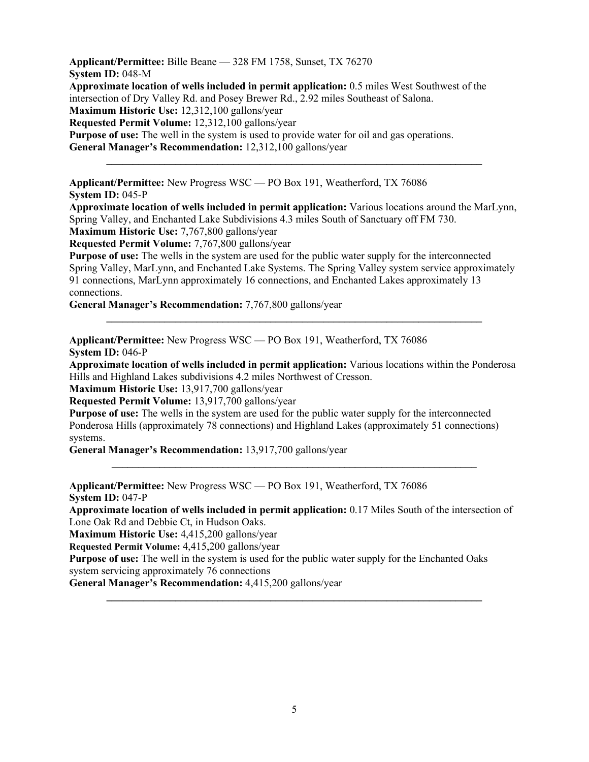**Applicant/Permittee:** Bille Beane — 328 FM 1758, Sunset, TX 76270 **System ID:** 048-M **Approximate location of wells included in permit application:** 0.5 miles West Southwest of the intersection of Dry Valley Rd. and Posey Brewer Rd., 2.92 miles Southeast of Salona. **Maximum Historic Use:** 12,312,100 gallons/year **Requested Permit Volume:** 12,312,100 gallons/year **Purpose of use:** The well in the system is used to provide water for oil and gas operations. **General Manager's Recommendation:** 12,312,100 gallons/year **\_\_\_\_\_\_\_\_\_\_\_\_\_\_\_\_\_\_\_\_\_\_\_\_\_\_\_\_\_\_\_\_\_\_\_\_\_\_\_\_\_\_\_\_\_\_\_\_\_\_\_\_\_\_\_\_\_\_\_\_\_\_\_\_\_\_\_\_\_\_\_**

**Applicant/Permittee:** New Progress WSC — PO Box 191, Weatherford, TX 76086 **System ID:** 045-P

**Approximate location of wells included in permit application:** Various locations around the MarLynn, Spring Valley, and Enchanted Lake Subdivisions 4.3 miles South of Sanctuary off FM 730. **Maximum Historic Use:** 7,767,800 gallons/year

**Requested Permit Volume:** 7,767,800 gallons/year

**Purpose of use:** The wells in the system are used for the public water supply for the interconnected Spring Valley, MarLynn, and Enchanted Lake Systems. The Spring Valley system service approximately 91 connections, MarLynn approximately 16 connections, and Enchanted Lakes approximately 13 connections.

**\_\_\_\_\_\_\_\_\_\_\_\_\_\_\_\_\_\_\_\_\_\_\_\_\_\_\_\_\_\_\_\_\_\_\_\_\_\_\_\_\_\_\_\_\_\_\_\_\_\_\_\_\_\_\_\_\_\_\_\_\_\_\_\_\_\_\_\_\_\_\_**

**General Manager's Recommendation:** 7,767,800 gallons/year

**Applicant/Permittee:** New Progress WSC — PO Box 191, Weatherford, TX 76086 **System ID: 046-P** 

**Approximate location of wells included in permit application:** Various locations within the Ponderosa Hills and Highland Lakes subdivisions 4.2 miles Northwest of Cresson.

**Maximum Historic Use:** 13,917,700 gallons/year

**Requested Permit Volume:** 13,917,700 gallons/year

**Purpose of use:** The wells in the system are used for the public water supply for the interconnected Ponderosa Hills (approximately 78 connections) and Highland Lakes (approximately 51 connections) systems.

**General Manager's Recommendation:** 13,917,700 gallons/year

**Applicant/Permittee:** New Progress WSC — PO Box 191, Weatherford, TX 76086 **System ID:** 047-P

**Approximate location of wells included in permit application:** 0.17 Miles South of the intersection of Lone Oak Rd and Debbie Ct, in Hudson Oaks.

**\_\_\_\_\_\_\_\_\_\_\_\_\_\_\_\_\_\_\_\_\_\_\_\_\_\_\_\_\_\_\_\_\_\_\_\_\_\_\_\_\_\_\_\_\_\_\_\_\_\_\_\_\_\_\_\_\_\_\_\_\_\_\_\_\_\_\_\_\_\_\_**

**\_\_\_\_\_\_\_\_\_\_\_\_\_\_\_\_\_\_\_\_\_\_\_\_\_\_\_\_\_\_\_\_\_\_\_\_\_\_\_\_\_\_\_\_\_\_\_\_\_\_\_\_\_\_\_\_\_\_\_\_\_\_\_\_\_\_\_\_\_**

**Maximum Historic Use:** 4,415,200 gallons/year

**Requested Permit Volume:** 4,415,200 gallons/year

**Purpose of use:** The well in the system is used for the public water supply for the Enchanted Oaks system servicing approximately 76 connections

**General Manager's Recommendation:** 4,415,200 gallons/year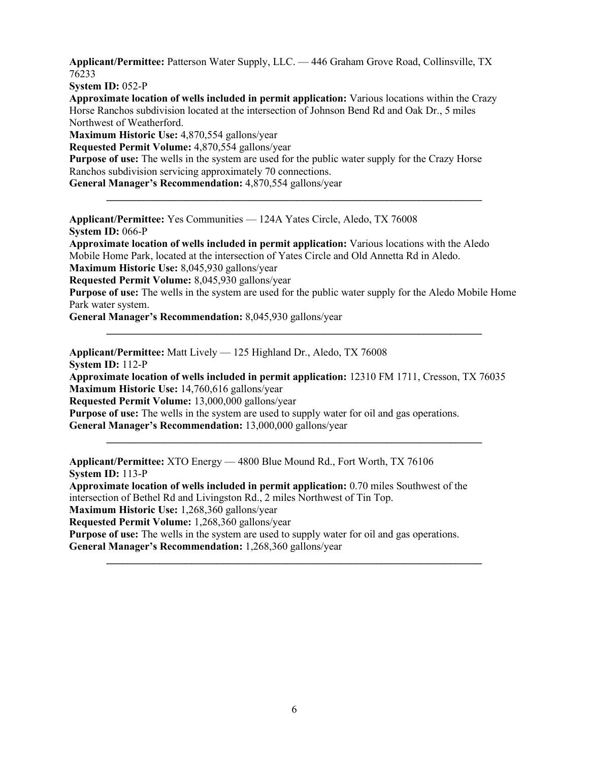**Applicant/Permittee:** Patterson Water Supply, LLC. — 446 Graham Grove Road, Collinsville, TX 76233

**System ID:** 052-P

**Approximate location of wells included in permit application:** Various locations within the Crazy Horse Ranchos subdivision located at the intersection of Johnson Bend Rd and Oak Dr., 5 miles Northwest of Weatherford.

**Maximum Historic Use:** 4,870,554 gallons/year

**Requested Permit Volume:** 4,870,554 gallons/year

**Purpose of use:** The wells in the system are used for the public water supply for the Crazy Horse Ranchos subdivision servicing approximately 70 connections.

**General Manager's Recommendation:** 4,870,554 gallons/year

**Applicant/Permittee:** Yes Communities — 124A Yates Circle, Aledo, TX 76008 **System ID:** 066-P

**Approximate location of wells included in permit application:** Various locations with the Aledo Mobile Home Park, located at the intersection of Yates Circle and Old Annetta Rd in Aledo.

**Maximum Historic Use:** 8,045,930 gallons/year

**Requested Permit Volume:** 8,045,930 gallons/year

**Purpose of use:** The wells in the system are used for the public water supply for the Aledo Mobile Home Park water system.

**\_\_\_\_\_\_\_\_\_\_\_\_\_\_\_\_\_\_\_\_\_\_\_\_\_\_\_\_\_\_\_\_\_\_\_\_\_\_\_\_\_\_\_\_\_\_\_\_\_\_\_\_\_\_\_\_\_\_\_\_\_\_\_\_\_\_\_\_\_\_\_**

**\_\_\_\_\_\_\_\_\_\_\_\_\_\_\_\_\_\_\_\_\_\_\_\_\_\_\_\_\_\_\_\_\_\_\_\_\_\_\_\_\_\_\_\_\_\_\_\_\_\_\_\_\_\_\_\_\_\_\_\_\_\_\_\_\_\_\_\_\_\_\_**

**General Manager's Recommendation:** 8,045,930 gallons/year

**Applicant/Permittee:** Matt Lively — 125 Highland Dr., Aledo, TX 76008

**System ID:** 112-P

**Approximate location of wells included in permit application:** 12310 FM 1711, Cresson, TX 76035 **Maximum Historic Use:** 14,760,616 gallons/year

**\_\_\_\_\_\_\_\_\_\_\_\_\_\_\_\_\_\_\_\_\_\_\_\_\_\_\_\_\_\_\_\_\_\_\_\_\_\_\_\_\_\_\_\_\_\_\_\_\_\_\_\_\_\_\_\_\_\_\_\_\_\_\_\_\_\_\_\_\_\_\_**

**\_\_\_\_\_\_\_\_\_\_\_\_\_\_\_\_\_\_\_\_\_\_\_\_\_\_\_\_\_\_\_\_\_\_\_\_\_\_\_\_\_\_\_\_\_\_\_\_\_\_\_\_\_\_\_\_\_\_\_\_\_\_\_\_\_\_\_\_\_\_\_**

**Requested Permit Volume:** 13,000,000 gallons/year

**Purpose of use:** The wells in the system are used to supply water for oil and gas operations. **General Manager's Recommendation:** 13,000,000 gallons/year

**Applicant/Permittee:** XTO Energy — 4800 Blue Mound Rd., Fort Worth, TX 76106 **System ID:** 113-P

**Approximate location of wells included in permit application:** 0.70 miles Southwest of the intersection of Bethel Rd and Livingston Rd., 2 miles Northwest of Tin Top. **Maximum Historic Use:** 1,268,360 gallons/year **Requested Permit Volume:** 1,268,360 gallons/year **Purpose of use:** The wells in the system are used to supply water for oil and gas operations.

**General Manager's Recommendation:** 1,268,360 gallons/year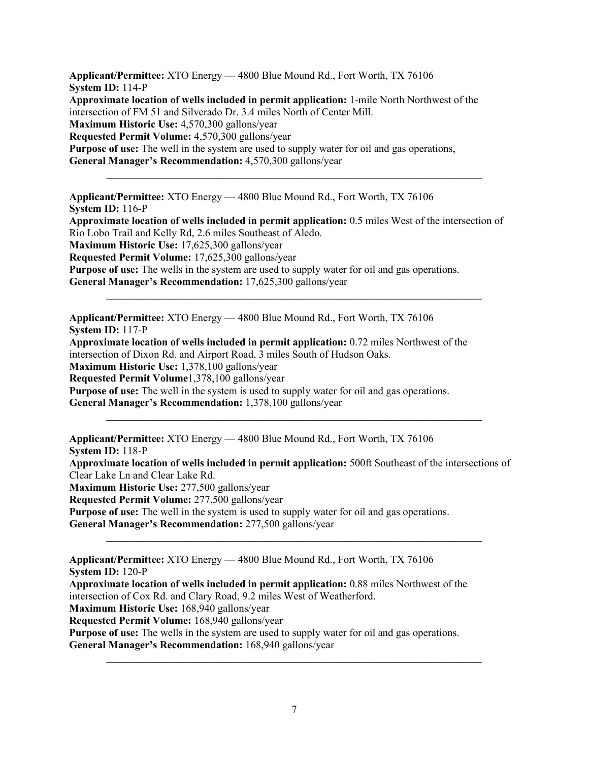**Applicant/Permittee:** XTO Energy — 4800 Blue Mound Rd., Fort Worth, TX 76106 **System ID:** 114-P **Approximate location of wells included in permit application:** 1-mile North Northwest of the intersection of FM 51 and Silverado Dr. 3.4 miles North of Center Mill. **Maximum Historic Use:** 4,570,300 gallons/year **Requested Permit Volume:** 4,570,300 gallons/year **Purpose of use:** The well in the system are used to supply water for oil and gas operations, **General Manager's Recommendation:** 4,570,300 gallons/year **\_\_\_\_\_\_\_\_\_\_\_\_\_\_\_\_\_\_\_\_\_\_\_\_\_\_\_\_\_\_\_\_\_\_\_\_\_\_\_\_\_\_\_\_\_\_\_\_\_\_\_\_\_\_\_\_\_\_\_\_\_\_\_\_\_\_\_\_\_\_\_**

**Applicant/Permittee:** XTO Energy — 4800 Blue Mound Rd., Fort Worth, TX 76106 **System ID:** 116-P **Approximate location of wells included in permit application:** 0.5 miles West of the intersection of Rio Lobo Trail and Kelly Rd, 2.6 miles Southeast of Aledo. **Maximum Historic Use:** 17,625,300 gallons/year **Requested Permit Volume:** 17,625,300 gallons/year **Purpose of use:** The wells in the system are used to supply water for oil and gas operations.

**\_\_\_\_\_\_\_\_\_\_\_\_\_\_\_\_\_\_\_\_\_\_\_\_\_\_\_\_\_\_\_\_\_\_\_\_\_\_\_\_\_\_\_\_\_\_\_\_\_\_\_\_\_\_\_\_\_\_\_\_\_\_\_\_\_\_\_\_\_\_\_**

**General Manager's Recommendation:** 17,625,300 gallons/year

**Applicant/Permittee:** XTO Energy — 4800 Blue Mound Rd., Fort Worth, TX 76106 **System ID:** 117-P

**Approximate location of wells included in permit application:** 0.72 miles Northwest of the intersection of Dixon Rd. and Airport Road, 3 miles South of Hudson Oaks. **Maximum Historic Use:** 1,378,100 gallons/year

**Requested Permit Volume**1,378,100 gallons/year

**Purpose of use:** The well in the system is used to supply water for oil and gas operations.

**General Manager's Recommendation:** 1,378,100 gallons/year

**Applicant/Permittee:** XTO Energy — 4800 Blue Mound Rd., Fort Worth, TX 76106 **System ID:** 118-P

**Approximate location of wells included in permit application:** 500ft Southeast of the intersections of Clear Lake Ln and Clear Lake Rd.

**\_\_\_\_\_\_\_\_\_\_\_\_\_\_\_\_\_\_\_\_\_\_\_\_\_\_\_\_\_\_\_\_\_\_\_\_\_\_\_\_\_\_\_\_\_\_\_\_\_\_\_\_\_\_\_\_\_\_\_\_\_\_\_\_\_\_\_\_\_\_\_**

**\_\_\_\_\_\_\_\_\_\_\_\_\_\_\_\_\_\_\_\_\_\_\_\_\_\_\_\_\_\_\_\_\_\_\_\_\_\_\_\_\_\_\_\_\_\_\_\_\_\_\_\_\_\_\_\_\_\_\_\_\_\_\_\_\_\_\_\_\_\_\_**

**Maximum Historic Use:** 277,500 gallons/year

**Requested Permit Volume:** 277,500 gallons/year

**Purpose of use:** The well in the system is used to supply water for oil and gas operations.

**General Manager's Recommendation:** 277,500 gallons/year

**Applicant/Permittee:** XTO Energy — 4800 Blue Mound Rd., Fort Worth, TX 76106 **System ID:** 120-P

**Approximate location of wells included in permit application:** 0.88 miles Northwest of the intersection of Cox Rd. and Clary Road, 9.2 miles West of Weatherford.

**Maximum Historic Use:** 168,940 gallons/year

**Requested Permit Volume:** 168,940 gallons/year

**Purpose of use:** The wells in the system are used to supply water for oil and gas operations.

**General Manager's Recommendation:** 168,940 gallons/year

**\_\_\_\_\_\_\_\_\_\_\_\_\_\_\_\_\_\_\_\_\_\_\_\_\_\_\_\_\_\_\_\_\_\_\_\_\_\_\_\_\_\_\_\_\_\_\_\_\_\_\_\_\_\_\_\_\_\_\_\_\_\_\_\_\_\_\_\_\_\_\_**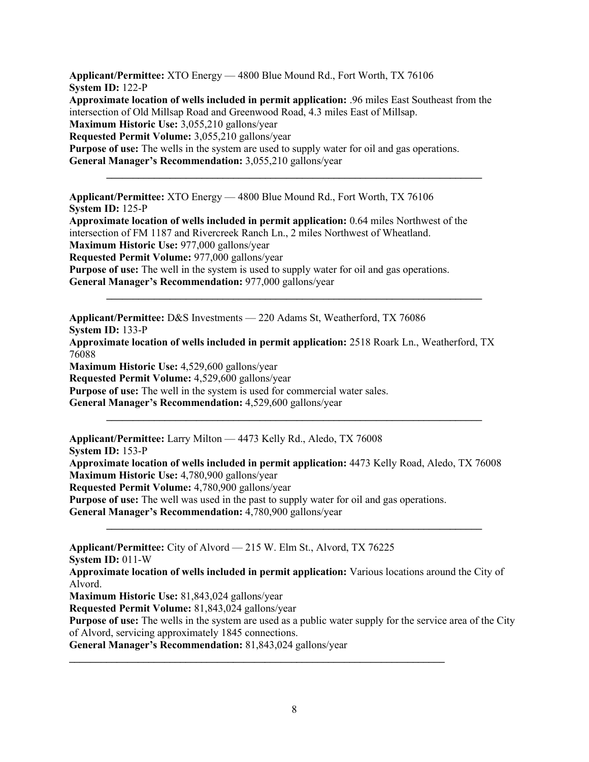**Applicant/Permittee:** XTO Energy — 4800 Blue Mound Rd., Fort Worth, TX 76106 **System ID:** 122-P **Approximate location of wells included in permit application:** .96 miles East Southeast from the intersection of Old Millsap Road and Greenwood Road, 4.3 miles East of Millsap. **Maximum Historic Use:** 3,055,210 gallons/year **Requested Permit Volume:** 3,055,210 gallons/year **Purpose of use:** The wells in the system are used to supply water for oil and gas operations. **General Manager's Recommendation:** 3,055,210 gallons/year

**\_\_\_\_\_\_\_\_\_\_\_\_\_\_\_\_\_\_\_\_\_\_\_\_\_\_\_\_\_\_\_\_\_\_\_\_\_\_\_\_\_\_\_\_\_\_\_\_\_\_\_\_\_\_\_\_\_\_\_\_\_\_\_\_\_\_\_\_\_\_\_**

**Applicant/Permittee:** XTO Energy — 4800 Blue Mound Rd., Fort Worth, TX 76106 **System ID:** 125-P **Approximate location of wells included in permit application:** 0.64 miles Northwest of the

intersection of FM 1187 and Rivercreek Ranch Ln., 2 miles Northwest of Wheatland. **Maximum Historic Use:** 977,000 gallons/year **Requested Permit Volume:** 977,000 gallons/year **Purpose of use:** The well in the system is used to supply water for oil and gas operations. **General Manager's Recommendation:** 977,000 gallons/year

**Applicant/Permittee:** D&S Investments — 220 Adams St, Weatherford, TX 76086 **System ID:** 133-P

**Approximate location of wells included in permit application:** 2518 Roark Ln., Weatherford, TX 76088

**\_\_\_\_\_\_\_\_\_\_\_\_\_\_\_\_\_\_\_\_\_\_\_\_\_\_\_\_\_\_\_\_\_\_\_\_\_\_\_\_\_\_\_\_\_\_\_\_\_\_\_\_\_\_\_\_\_\_\_\_\_\_\_\_\_\_\_\_\_\_\_**

**Maximum Historic Use:** 4,529,600 gallons/year

**Requested Permit Volume:** 4,529,600 gallons/year

**Purpose of use:** The well in the system is used for commercial water sales.

**General Manager's Recommendation:** 4,529,600 gallons/year

**Applicant/Permittee:** Larry Milton — 4473 Kelly Rd., Aledo, TX 76008 **System ID:** 153-P **Approximate location of wells included in permit application:** 4473 Kelly Road, Aledo, TX 76008 **Maximum Historic Use:** 4,780,900 gallons/year **Requested Permit Volume:** 4,780,900 gallons/year **Purpose of use:** The well was used in the past to supply water for oil and gas operations. **General Manager's Recommendation:** 4,780,900 gallons/year

**\_\_\_\_\_\_\_\_\_\_\_\_\_\_\_\_\_\_\_\_\_\_\_\_\_\_\_\_\_\_\_\_\_\_\_\_\_\_\_\_\_\_\_\_\_\_\_\_\_\_\_\_\_\_\_\_\_\_\_\_\_\_\_\_\_\_\_\_\_\_\_**

**Applicant/Permittee:** City of Alvord — 215 W. Elm St., Alvord, TX 76225

**System ID:** 011-W

**Approximate location of wells included in permit application:** Various locations around the City of Alvord.

**\_\_\_\_\_\_\_\_\_\_\_\_\_\_\_\_\_\_\_\_\_\_\_\_\_\_\_\_\_\_\_\_\_\_\_\_\_\_\_\_\_\_\_\_\_\_\_\_\_\_\_\_\_\_\_\_\_\_\_\_\_\_\_\_\_\_\_\_\_\_\_**

**Maximum Historic Use:** 81,843,024 gallons/year

**Requested Permit Volume:** 81,843,024 gallons/year

**Purpose of use:** The wells in the system are used as a public water supply for the service area of the City of Alvord, servicing approximately 1845 connections.

**\_\_\_\_\_\_\_\_\_\_\_\_\_\_\_\_\_\_\_\_\_\_\_\_\_\_\_\_\_\_\_\_\_\_\_\_\_\_\_\_\_\_\_\_\_\_\_\_\_\_\_\_\_\_\_\_\_\_\_\_\_\_\_\_\_\_\_\_\_\_\_**

**General Manager's Recommendation:** 81,843,024 gallons/year